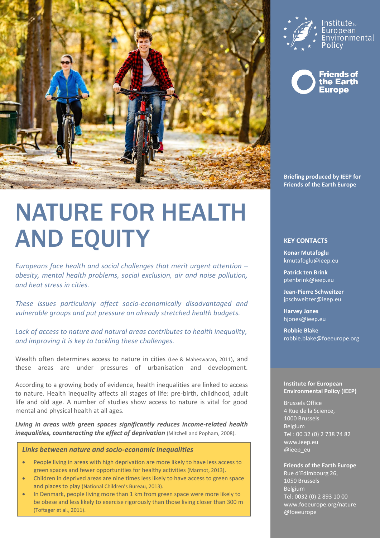

# NATURE FOR HEALTH AND EQUITY

*Europeans face health and social challenges that merit urgent attention – obesity, mental health problems, social exclusion, air and noise pollution, and heat stress in cities.*

*These issues particularly affect socio-economically disadvantaged and vulnerable groups and put pressure on already stretched health budgets.* 

*Lack of access to nature and natural areas contributes to health inequality, and improving it is key to tackling these challenges.*

Wealth often determines access to nature in cities (Lee & Maheswaran, 2011), and these areas are under pressures of urbanisation and development.

According to a growing body of evidence, health inequalities are linked to access to nature. Health inequality affects all stages of life: pre-birth, childhood, adult life and old age. A number of studies show access to nature is vital for good mental and physical health at all ages.

*Living in areas with green spaces significantly reduces income-related health inequalities, counteracting the effect of deprivation* (Mitchell and Popham, 2008).

## *Links between nature and socio-economic inequalities*

- People living in areas with high deprivation are more likely to have less access to green spaces and fewer opportunities for healthy activities (Marmot, 2013).
- Children in deprived areas are nine times less likely to have access to green space and places to play (National Children's Bureau, 2013).
- In Denmark, people living more than 1 km from green space were more likely to be obese and less likely to exercise rigorously than those living closer than 300 m (Toftager et al., 2011).





**Briefing produced by IEEP for Friends of the Earth Europe**

## **KEY CONTACTS**

**Konar Mutafoglu** [kmutafoglu@ieep.eu](mailto:Kmutafoglu@ieep.eu)

**Patrick ten Brink** [ptenbrink@ieep.eu](mailto:ptenbrink@ieep.eu)

**Jean-Pierre Schweitzer**  [jpschweitzer@ieep.eu](mailto:jpschweitzer@ieep.eu)

**Harvey Jones** hjones@ieep.eu

**Robbie Blake** [robbie.blake@foeeurope.org](mailto:robbie.blake@foeeurope.org)

#### **Institute for European Environmental Policy (IEEP)**

Brussels Office 4 Rue de la Science, 1000 Brussels Belgium Tel : 00 32 (0) 2 738 74 82 www.ieep.eu @ieep\_eu

# **Friends of the Earth Europe**

Rue d'Edimbourg 26, 1050 Brussels Belgium Tel: 0032 (0) 2 893 10 00 www.foeeurope.org/nature @foeeurope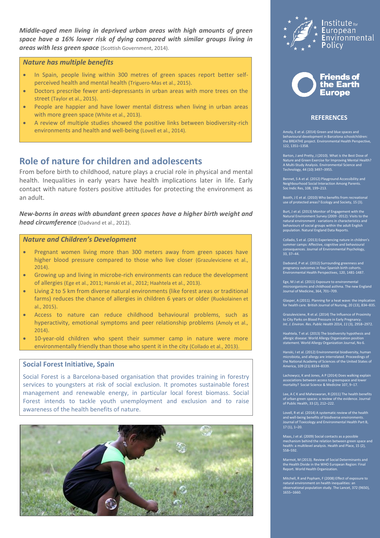*Middle-aged men living in deprived urban areas with high amounts of green space have a 16% lower risk of dying compared with similar groups living in areas with less green space* (Scottish Government, 2014).

#### *Nature has multiple benefits*

- In Spain, people living within 300 metres of green spaces report better selfperceived health and mental health (Triguero-Mas et al., 2015).
- Doctors prescribe fewer anti-depressants in urban areas with more trees on the street (Taylor et al., 2015).
- People are happier and have lower mental distress when living in urban areas with more green space (White et al., 2013).
- A review of multiple studies showed the positive links between biodiversity-rich environments and health and well-being (Lovell et al., 2014).

# **Role of nature for children and adolescents**

From before birth to childhood, nature plays a crucial role in physical and mental health. Inequalities in early years have health implications later in life. Early contact with nature fosters positive attitudes for protecting the environment as an adult.

*New-borns in areas with abundant green spaces have a higher birth weight and head circumference* (Dadvand et al., 2012).

# *Nature and Children's Development*

- Pregnant women living more than 300 meters away from green spaces have higher blood pressure compared to those who live closer (Grazuleviciene et al., 2014).
- Growing up and living in microbe-rich environments can reduce the development of allergies (Ege et al., 2011; Hanski et al., 2012; Haahtela et al., 2013).
- Living 2 to 5 km from diverse natural environments (like forest areas or traditional farms) reduces the chance of allergies in children 6 years or older (Ruokolainen et al., 2015).
- Access to nature can reduce childhood behavioural problems, such as hyperactivity, emotional symptoms and peer relationship problems (Amoly et al., 2014).
- 10-year-old children who spent their summer camp in nature were more environmentally friendly than those who spent it in the city (Collado et al., 2013).

# **Social Forest Initiative, Spain**

Social Forest is a Barcelona-based organisation that provides training in forestry services to youngsters at risk of social exclusion. It promotes sustainable forest management and renewable energy, in particular local forest biomass. Social Forest intends to tackle youth unemployment and exclusion and to raise awareness of the health benefits of nature.







## **REFERENCES**

behavioural development in Barcelona schoolchildren: the BREATHE project. Environmental Health Perspective, 122, 1351–1358.

Barton, J and Pretty, J (2010). What is the Best Dose of Nature and Green Exercise for Improving Mental Health? A Multi-Study Analysis. Environmental Science and Technology, 44 (10) 3497–3955.

Bennet, S A et al. (2012) Playground Accessibility and Neighbourhood Social Interaction Among Parents. Soc Indic Res, 108, 199–213.

Booth, J E et al. (2010) Who benefits from recreational use of protected areas? Ecology and Society, 15 (3).

Burt, J et al. (2013) Monitor of Engagement with the<br>Natural Environment Survey (2009 -2012): Visits to the<br>natural environment - variations in characteristics and<br>behaviours of social groups within the adult English<br>popul

Collado, S et al. (2013) Experiencing nature in children's summer camps: Affective, cognitive and behavioural consequences. Journal of Environmental Psychology, 33, 37–44.

Dadvand, P et al. (2012) Surrounding greenness and pregnancy outcomes in four Spanish birth cohorts. Environmental Health Perspectives, 120, 1481-1487.

Ege, M J et al. (2011) Exposure to environmental microorganisms and childhood asthma. The new England Journal of Medicine, 364, 701–709.

Glasper, A (2011). Planning for a heat wave: the implication for health care. British Journal of Nursing, 20 (13), 834–835.

Grazuleviciene, R et al. (2014) The Influence of Proximity to City Parks on Blood Pressure in Early Pregnancy. *Int. J. Environ. Res. Public Health* 2014, *11* (3), 2958–2972.

Haahtela, T et al. (2013) The biodiversity hypothesis and allergic disease: World Allergy Organization position statement. World Allergy Organization Journal, No 6.

Hanski, I et al. (2012) Environmental biodiversity, human microbiota, and allergy are interrelated. Proceedings of the National Academy of Sciences of the United States of America, 109 (21) 8334–8339.

Lachowycz, K and Jones, A P (2014) Does walking explain associations between access to greenspace and lower mortality? Social Science & Medicine 107, 9–17.

Lee, A C K and Maheswaran, R (2011) The health benefits of urban green spaces: a review of the evidence. Journal of Public Health, 33 (2), 212–222.

Lovell, R et al. (2014) A systematic review of the health and well-being benefits of biodiverse environments. Journal of Toxicology and Environmental Health Part B, 17 (1), 1–20.

Maas, J et al. (2009) Social contacts as a possible mechanism behind the relation between green space and health: a multilevel analysis. Health and Place, 15 (2), 558–592.

Marmot, M (2013). Review of Social Determinants and the Health Divide in the WHO European Region: Final Report. World Health Organization.

Mitchell, R and Popham, F (2008) Effect of exposure to natural environment on health inequalities: an observational population study. The Lancet, 372 (9650), 1655–1660.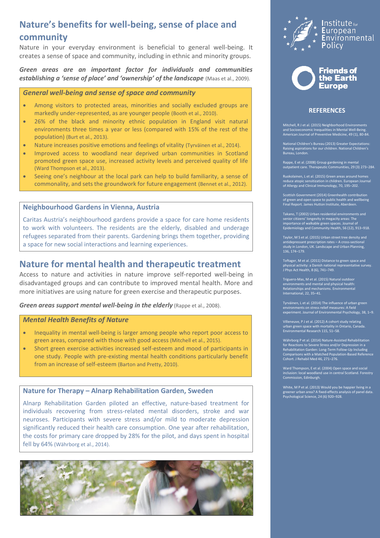# **Nature's benefits for well-being, sense of place and community**

Nature in your everyday environment is beneficial to general well-being. It creates a sense of space and community, including in ethnic and minority groups.

*Green areas are an important factor for individuals and communities*  **establishing a 'sense of place' and 'ownership' of the landscape** (Maas et al., 2009).

## *General well-being and sense of space and community*

- Among visitors to protected areas, minorities and socially excluded groups are markedly under-represented, as are younger people (Booth et al., 2010).
- 26% of the black and minority ethnic population in England visit natural environments three times a year or less (compared with 15% of the rest of the population) (Burt et al., 2013).
- Nature increases positive emotions and feelings of vitality (Tyrväinen et al., 2014).
- Improved access to woodland near deprived urban communities in Scotland promoted green space use, increased activity levels and perceived quality of life (Ward Thompson et al., 2013).
- Seeing one's neighbour at the local park can help to build familiarity, a sense of commonality, and sets the groundwork for future engagement (Bennet et al., 2012).

## **Neighbourhood Gardens in Vienna, Austria**

Caritas Austria's neighbourhood gardens provide a space for care home residents to work with volunteers. The residents are the elderly, disabled and underage refugees separated from their parents. Gardening brings them together, providing a space for new social interactions and learning experiences.

# **Nature for mental health and therapeutic treatment**

Access to nature and activities in nature improve self-reported well-being in disadvantaged groups and can contribute to improved mental health. More and more initiatives are using nature for green exercise and therapeutic purposes.

*Green areas support mental well-being in the elderly* (Rappe et al., 2008).

## *Mental Health Benefits of Nature*

- Inequality in mental well-being is larger among people who report poor access to green areas, compared with those with good access (Mitchell et al., 2015).
- Short green exercise activities increased self-esteem and mood of participants in one study. People with pre-existing mental health conditions particularly benefit from an increase of self-esteem (Barton and Pretty, 2010).

# **Nature for Therapy – Alnarp Rehabilitation Garden, Sweden**

Alnarp Rehabilitation Garden piloted an effective, nature-based treatment for individuals recovering from stress-related mental disorders, stroke and war neuroses. Participants with severe stress and/or mild to moderate depression significantly reduced their health care consumption. One year after rehabilitation, the costs for primary care dropped by 28% for the pilot, and days spent in hospital fell by 64% (Währborg et al., 2014).







## **REFERENCES**

Mitchell, R J et al. (2015) Neighborhood Environments and Socioeconomic Inequalities in Mental Well-Being. American Journal of Preventive Medicine, 49 (1), 80-84.

National Children's Bureau (2013) Greater Expectations: Raising aspirations for our children. National Children's Bureau, London.

Rappe, E et al. (2008) Group gardening in mental outpatient care. Therapeutic Communities, 29 (3) 273−284.

Ruokolainen, L et al. (2015) Green areas around homes reduce atopic sensitization in children. European Journal of Allergy and Clinical Immunology, 70, 195–202.

Scottish Government (2014) Greenhealth contribution of green and open space to public health and wellbeing Final Report. James Hutton Institute, Aberdeen.

senior citizens' longevity in megacity areas: The importance of walkable green spaces. Journal of Epidemiology and Community Health, 56 (12), 913–918.

Taylor, M S et al. (2015) Urban street tree density and antidepressant prescription rates – A cross-sectional study in London, UK. Landscape and Urban Planning, 136, 174–179.

Toftager, M et al. (2011) Distance to green space and physical activity: a Danish national representative survey. J Phys Act Health, 8 (6), 741–749.

Triguero-Mas, M et al. (2015) Natural outde environments and mental and physical health: Relationships and mechanisms. Environmental International, 22, 35–41.

Tyrväinen, L et al. (2014) The influence of urban green environments on stress relief measures: A field experiment. Journal of Environmental Psychology, 38, 1–9.

Villeneuve, P J et al. (2012) A cohort study relating urban green space with mortality in Ontario, Canada. Environmental Research 115, 51–58.

Währborg P et al. (2014) Nature-Assisted Rehabilitation for Reactions to Severe Stress and/or Depression in a Rehabilitation Garden: Long-Term Follow-Up Including Comparisons with a Matched Population-Based Reference Cohort. J Rehabil Med 46, 271–276.

Ward Thompson, E et al. (2004) Open space and social inclusion: local woodland use in central Scotland. Forestry Commission, Edinburgh.

White, M P et al. (2013) Would you be happier living in a greener urban area? A fixed-effects analysis of panel data. Psychological Science, 24 (6) 920–928.